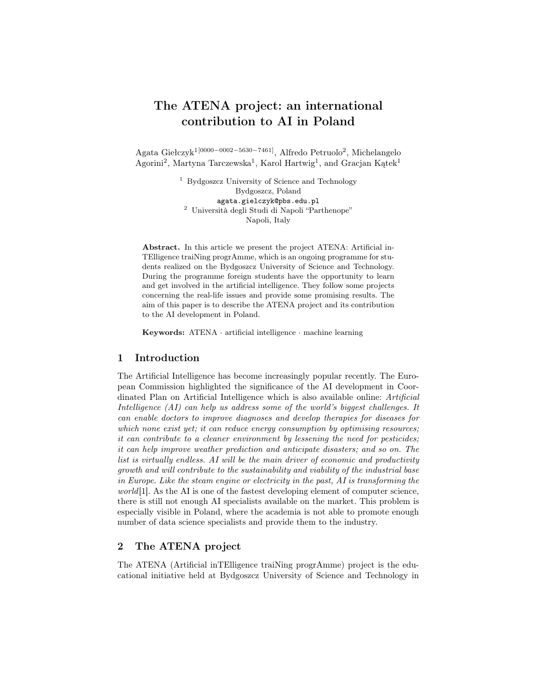# The ATENA project: an international contribution to AI in Poland

Agata Giełczyk1[0000−0002−5630−7461], Alfredo Petruolo<sup>2</sup> , Michelangelo Agorini<sup>2</sup>, Martyna Tarczewska<sup>1</sup>, Karol Hartwig<sup>1</sup>, and Gracjan Kątek<sup>1</sup>

> <sup>1</sup> Bydgoszcz University of Science and Technology Bydgoszcz, Poland agata.gielczyk@pbs.edu.pl <sup>2</sup> Università degli Studi di Napoli "Parthenope" Napoli, Italy

Abstract. In this article we present the project ATENA: Artificial in-TElligence traiNing progrAmme, which is an ongoing programme for students realized on the Bydgoszcz University of Science and Technology. During the programme foreign students have the opportunity to learn and get involved in the artificial intelligence. They follow some projects concerning the real-life issues and provide some promising results. The aim of this paper is to describe the ATENA project and its contribution to the AI development in Poland.

**Keywords:** ATENA  $\cdot$  artificial intelligence  $\cdot$  machine learning

## 1 Introduction

The Artificial Intelligence has become increasingly popular recently. The European Commission highlighted the significance of the AI development in Coordinated Plan on Artificial Intelligence which is also available online: Artificial Intelligence (AI) can help us address some of the world's biggest challenges. It can enable doctors to improve diagnoses and develop therapies for diseases for which none exist yet; it can reduce energy consumption by optimising resources; it can contribute to a cleaner environment by lessening the need for pesticides; it can help improve weather prediction and anticipate disasters; and so on. The list is virtually endless. AI will be the main driver of economic and productivity growth and will contribute to the sustainability and viability of the industrial base in Europe. Like the steam engine or electricity in the past, AI is transforming the world [1]. As the AI is one of the fastest developing element of computer science, there is still not enough AI specialists available on the market. This problem is especially visible in Poland, where the academia is not able to promote enough number of data science specialists and provide them to the industry.

# 2 The ATENA project

The ATENA (Artificial inTElligence traiNing progrAmme) project is the educational initiative held at Bydgoszcz University of Science and Technology in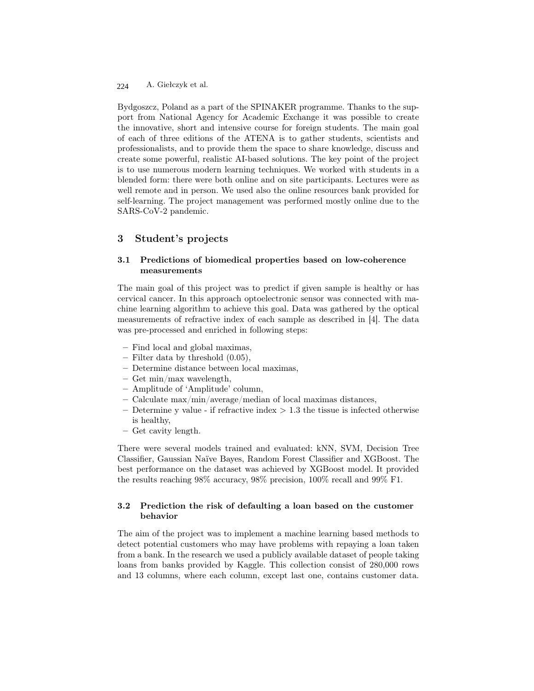A. Giełczyk et al. 224

Bydgoszcz, Poland as a part of the SPINAKER programme. Thanks to the support from National Agency for Academic Exchange it was possible to create the innovative, short and intensive course for foreign students. The main goal of each of three editions of the ATENA is to gather students, scientists and professionalists, and to provide them the space to share knowledge, discuss and create some powerful, realistic AI-based solutions. The key point of the project is to use numerous modern learning techniques. We worked with students in a blended form: there were both online and on site participants. Lectures were as well remote and in person. We used also the online resources bank provided for self-learning. The project management was performed mostly online due to the SARS-CoV-2 pandemic.

# 3 Student's projects

## 3.1 Predictions of biomedical properties based on low-coherence measurements

The main goal of this project was to predict if given sample is healthy or has cervical cancer. In this approach optoelectronic sensor was connected with machine learning algorithm to achieve this goal. Data was gathered by the optical measurements of refractive index of each sample as described in [4]. The data was pre-processed and enriched in following steps:

- Find local and global maximas,
- Filter data by threshold (0.05),
- Determine distance between local maximas,
- Get min/max wavelength,
- Amplitude of 'Amplitude' column,
- Calculate max/min/average/median of local maximas distances,
- Determine y value if refractive index  $> 1.3$  the tissue is infected otherwise is healthy,
- Get cavity length.

There were several models trained and evaluated: kNN, SVM, Decision Tree Classifier, Gaussian Naïve Bayes, Random Forest Classifier and XGBoost. The best performance on the dataset was achieved by XGBoost model. It provided the results reaching 98% accuracy, 98% precision, 100% recall and 99% F1.

## 3.2 Prediction the risk of defaulting a loan based on the customer behavior

The aim of the project was to implement a machine learning based methods to detect potential customers who may have problems with repaying a loan taken from a bank. In the research we used a publicly available dataset of people taking loans from banks provided by Kaggle. This collection consist of 280,000 rows and 13 columns, where each column, except last one, contains customer data.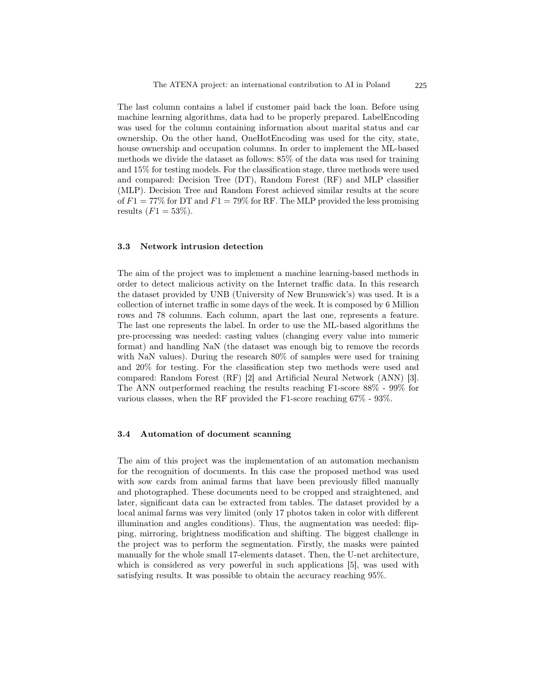The last column contains a label if customer paid back the loan. Before using machine learning algorithms, data had to be properly prepared. LabelEncoding was used for the column containing information about marital status and car ownership. On the other hand, OneHotEncoding was used for the city, state, house ownership and occupation columns. In order to implement the ML-based methods we divide the dataset as follows: 85% of the data was used for training and 15% for testing models. For the classification stage, three methods were used and compared: Decision Tree (DT), Random Forest (RF) and MLP classifier (MLP). Decision Tree and Random Forest achieved similar results at the score of  $F1 = 77\%$  for DT and  $F1 = 79\%$  for RF. The MLP provided the less promising results  $(F1 = 53\%).$ 

#### 3.3 Network intrusion detection

The aim of the project was to implement a machine learning-based methods in order to detect malicious activity on the Internet traffic data. In this research the dataset provided by UNB (University of New Brunswick's) was used. It is a collection of internet traffic in some days of the week. It is composed by 6 Million rows and 78 columns. Each column, apart the last one, represents a feature. The last one represents the label. In order to use the ML-based algorithms the pre-processing was needed: casting values (changing every value into numeric format) and handling NaN (the dataset was enough big to remove the records with NaN values). During the research 80% of samples were used for training and 20% for testing. For the classification step two methods were used and compared: Random Forest (RF) [2] and Artificial Neural Network (ANN) [3]. The ANN outperformed reaching the results reaching F1-score 88% - 99% for various classes, when the RF provided the F1-score reaching 67% - 93%.

#### 3.4 Automation of document scanning

The aim of this project was the implementation of an automation mechanism for the recognition of documents. In this case the proposed method was used with sow cards from animal farms that have been previously filled manually and photographed. These documents need to be cropped and straightened, and later, significant data can be extracted from tables. The dataset provided by a local animal farms was very limited (only 17 photos taken in color with different illumination and angles conditions). Thus, the augmentation was needed: flipping, mirroring, brightness modification and shifting. The biggest challenge in the project was to perform the segmentation. Firstly, the masks were painted manually for the whole small 17-elements dataset. Then, the U-net architecture, which is considered as very powerful in such applications [5], was used with satisfying results. It was possible to obtain the accuracy reaching 95%.